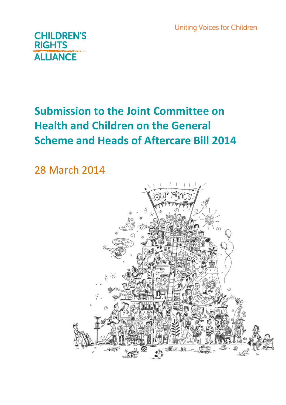**Uniting Voices for Children** 



# **Submission to the Joint Committee on Health and Children on the General Scheme and Heads of Aftercare Bill 2014**

28 March 2014

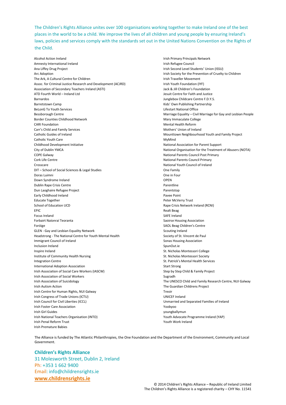The Children's Rights Alliance unites over 100 organisations working together to make Ireland one of the best places in the world to be a child. We improve the lives of all children and young people by ensuring Ireland's laws, policies and services comply with the standards set out in the United Nations Convention on the Rights of the Child.

Alcohol Action Ireland Amnesty International Ireland Ana Liffey Drug Project Arc Adoption The Ark, A Cultural Centre for Children Assoc. for Criminal Justice Research and Development (ACJRD) Association of Secondary Teachers Ireland (ASTI) ATD Fourth World – Ireland Ltd Barnardos Barretstown Camp BeLonG To Youth Services Bessborough Centre Border Counties Childhood Network CARI Foundation Carr's Child and Family Services Catholic Guides of Ireland Catholic Youth Care Childhood Development Initiative City of Dublin YMCA COPE Galway Cork Life Centre Crosscare DIT – School of Social Sciences & Legal Studies Doras Luimni Down Syndrome Ireland Dublin Rape Crisis Centre Dun Laoghaire Refugee Project Early Childhood Ireland Educate Together School of Education UCD EPIC Focus Ireland Forbairt Naíonraí Teoranta Foróige GLEN - Gay and Lesbian Equality Network Headstrong - The National Centre for Youth Mental Health Immigrant Council of Ireland Inclusion Ireland Inspire Ireland Institute of Community Health Nursing Integration Centre International Adoption Association Irish Association of Social Care Workers (IASCW) Irish Association of Social Workers Irish Association of Suicidology Irish Autism Action Irish Centre for Human Rights, NUI Galway Irish Congress of Trade Unions (ICTU) Irish Council for Civil Liberties (ICCL) Irish Foster Care Association Irish Girl Guides Irish National Teachers Organisation (INTO) Irish Penal Reform Trust Irish Premature Babies

Irish Primary Principals Network Irish Refugee Council Irish Second Level Students' Union (ISSU) Irish Society for the Prevention of Cruelty to Children Irish Traveller Movement Irish Youth Foundation (IYF) Jack & Jill Children's Foundation Jesuit Centre for Faith and Justice Junglebox Childcare Centre F.D.Y.S. Kids' Own Publishing Partnership Lifestart National Office Marriage Equality – Civil Marriage for Gay and Lesbian People Mary Immaculate College Mental Health Reform Mothers' Union of Ireland Mounttown Neighbourhood Youth and Family Project MyMind National Association for Parent Support National Organisation for the Treatment of Abusers (NOTA) National Parents Council Post Primary National Parents Council Primary National Youth Council of Ireland One Family One in Four OPEN Parentline Parentstop Pavee Point Peter McVerry Trust Rape Crisis Network Ireland (RCNI) Realt Beag SAFE Ireland Saoirse Housing Association SAOL Beag Children's Centre Scouting Ireland Society of St. Vincent de Paul Sonas Housing Association SpunOut.ie St. Nicholas Montessori College St. Nicholas Montessori Society St. Patrick's Mental Health Services Start Strong Step by Step Child & Family Project Sugradh The UNESCO Child and Family Research Centre, NUI Galway The Guardian Childrens Project Treoir UNICEF Ireland Unmarried and Separated Families of Ireland Yoobyoo youngballymun Youth Advocate Programme Ireland (YAP) Youth Work Ireland

The Alliance is funded by The Atlantic Philanthropies, the One Foundation and the Department of the Environment, Community and Local Government.

#### **Children's Rights Alliance**

31 Molesworth Street, Dublin 2, Ireland Ph: +353 1 662 9400 Email: info@childrensrights.ie **www.childrensrights.ie**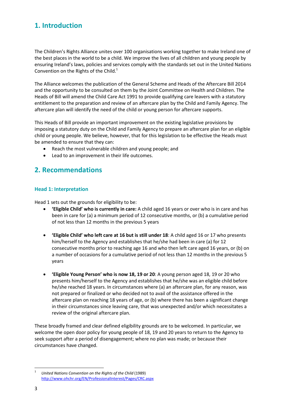## **1. Introduction**

The Children's Rights Alliance unites over 100 organisations working together to make Ireland one of the best places in the world to be a child. We improve the lives of all children and young people by ensuring Ireland's laws, policies and services comply with the standards set out in the United Nations Convention on the Rights of the Child.<sup>1</sup>

The Alliance welcomes the publication of the General Scheme and Heads of the Aftercare Bill 2014 and the opportunity to be consulted on them by the Joint Committee on Health and Children. The Heads of Bill will amend the Child Care Act 1991 to provide qualifying care leavers with a statutory entitlement to the preparation and review of an aftercare plan by the Child and Family Agency. The aftercare plan will identify the need of the child or young person for aftercare supports.

This Heads of Bill provide an important improvement on the existing legislative provisions by imposing a statutory duty on the Child and Family Agency to prepare an aftercare plan for an eligible child or young people. We believe, however, that for this legislation to be effective the Heads must be amended to ensure that they can:

- Reach the most vulnerable children and young people; and
- Lead to an improvement in their life outcomes.

### **2. Recommendations**

#### **Head 1: Interpretation**

Head 1 sets out the grounds for eligibility to be:

- **'Eligible Child' who is currently in care:** A child aged 16 years or over who is in care and has been in care for (a) a minimum period of 12 consecutive months, or (b) a cumulative period of not less than 12 months in the previous 5 years
- **'Eligible Child' who left care at 16 but is still under 18**: A child aged 16 or 17 who presents him/herself to the Agency and establishes that he/she had been in care (a) for 12 consecutive months prior to reaching age 16 and who then left care aged 16 years, or (b) on a number of occasions for a cumulative period of not less than 12 months in the previous 5 years
- **'Eligible Young Person' who is now 18, 19 or 20**: A young person aged 18, 19 or 20 who presents him/herself to the Agency and establishes that he/she was an eligible child before he/she reached 18 years. In circumstances where (a) an aftercare plan, for any reason, was not prepared or finalized or who decided not to avail of the assistance offered in the aftercare plan on reaching 18 years of age, or (b) where there has been a significant change in their circumstances since leaving care, that was unexpected and/or which necessitates a review of the original aftercare plan.

These broadly framed and clear defined eligibility grounds are to be welcomed. In particular, we welcome the open door policy for young people of 18, 19 and 20 years to return to the Agency to seek support after a period of disengagement; where no plan was made; or because their circumstances have changed.

<u>.</u>

<sup>1</sup>  *United Nations Convention on the Rights of the Child* (1989) http://www.ohchr.org/EN/ProfessionalInterest/Pages/CRC.aspx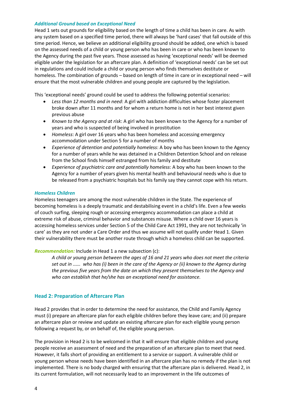#### *Additional Ground based on Exceptional Need*

Head 1 sets out grounds for eligibility based on the length of time a child has been in care. As with any system based on a specified time period, there will always be 'hard cases' that fall outside of this time period. Hence, we believe an additional eligibility ground should be added, one which is based on the assessed needs of a child or young person who has been in care or who has been known to the Agency during the past five years. Those assessed as having 'exceptional needs' will be deemed eligible under the legislation for an aftercare plan. A definition of 'exceptional needs' can be set out in regulations and could include a child or young person who finds themselves destitute or homeless. The combination of grounds – based on length of time in care or in exceptional need – will ensure that the most vulnerable children and young people are captured by the legislation.

This 'exceptional needs' ground could be used to address the following potential scenarios:

- *Less than 12 months and in need*: A girl with addiction difficulties whose foster placement broke down after 11 months and for whom a return home is not in her best interest given previous abuse
- *Known to the Agency and at risk*: A girl who has been known to the Agency for a number of years and who is suspected of being involved in prostitution
- *Homeless*: A girl over 16 years who has been homeless and accessing emergency accommodation under Section 5 for a number of months
- *Experience of detention and potentially homeless*: A boy who has been known to the Agency for a number of years while he was detained in a Children Detention School and on release from the School finds himself estranged from his family and destitute
- *Experience of psychiatric care and potentially homeless*: A boy who has been known to the Agency for a number of years given his mental health and behavioural needs who is due to be released from a psychiatric hospitals but his family say they cannot cope with his return.

#### *Homeless Children*

Homeless teenagers are among the most vulnerable children in the State. The experience of becoming homeless is a deeply traumatic and destabilising event in a child's life. Even a few weeks of couch surfing, sleeping rough or accessing emergency accommodation can place a child at extreme risk of abuse, criminal behavior and substances misuse. Where a child over 16 years is accessing homeless services under Section 5 of the Child Care Act 1991, they are not technically 'in care' as they are not under a Care Order and thus we assume will not qualify under Head 1. Given their vulnerability there must be another route through which a homeless child can be supported.

*Recommendation:* Include in Head 1 a new subsection (c):

*A child or young person between the ages of 16 and 21 years who does not meet the criteria set out in ..…. who has (i) been in the care of the Agency or (ii) known to the Agency during the previous five years from the date on which they present themselves to the Agency and who can establish that he/she has an exceptional need for assistance.* 

#### **Head 2: Preparation of Aftercare Plan**

Head 2 provides that in order to determine the need for assistance, the Child and Family Agency must (i) prepare an aftercare plan for each eligible children before they leave care; and (ii) prepare an aftercare plan or review and update an existing aftercare plan for each eligible young person following a request by, or on behalf of, the eligible young person.

The provision in Head 2 is to be welcomed in that it will ensure that eligible children and young people receive an assessment of need and the preparation of an aftercare plan to meet that need. However, it falls short of providing an entitlement to a service or support. A vulnerable child or young person whose needs have been identified in an aftercare plan has no remedy if the plan is not implemented. There is no body charged with ensuring that the aftercare plan is delivered. Head 2, in its current formulation, will not necessarily lead to an improvement in the life outcomes of